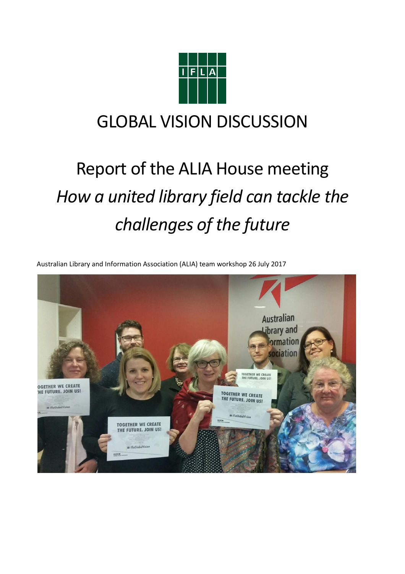

# GLOBAL VISION DISCUSSION

# Report of the ALIA House meeting *How a united library field can tackle the challenges of the future*

Australian Library and Information Association (ALIA) team workshop 26 July 2017

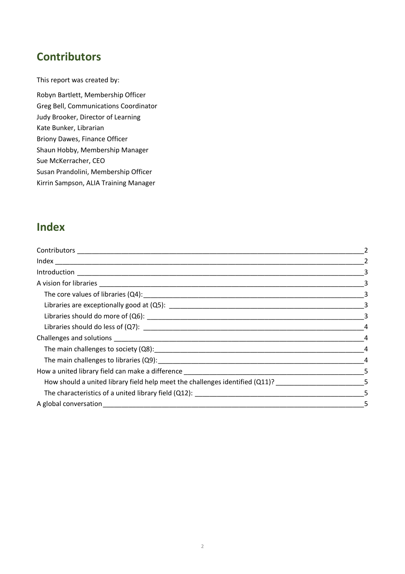# **Contributors**

This report was created by:

Robyn Bartlett, Membership Officer Greg Bell, Communications Coordinator Judy Brooker, Director of Learning Kate Bunker, Librarian Briony Dawes, Finance Officer Shaun Hobby, Membership Manager Sue McKerracher, CEO Susan Prandolini, Membership Officer Kirrin Sampson, ALIA Training Manager

# **Index**

|                                                                                                       | -2 |
|-------------------------------------------------------------------------------------------------------|----|
|                                                                                                       |    |
|                                                                                                       |    |
|                                                                                                       |    |
|                                                                                                       |    |
|                                                                                                       |    |
|                                                                                                       |    |
|                                                                                                       |    |
|                                                                                                       |    |
|                                                                                                       |    |
|                                                                                                       |    |
| How should a united library field help meet the challenges identified (Q11)? _______________________5 |    |
|                                                                                                       |    |
|                                                                                                       | -5 |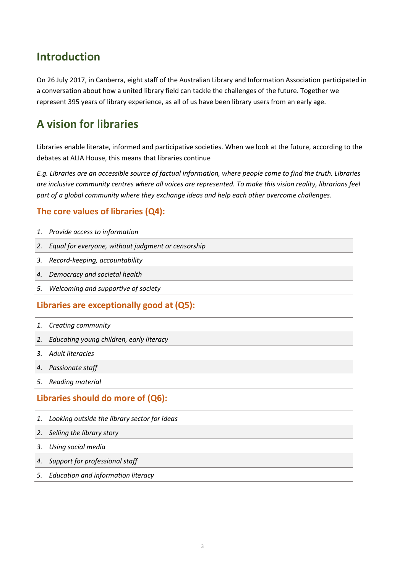### **Introduction**

On 26 July 2017, in Canberra, eight staff of the Australian Library and Information Association participated in a conversation about how a united library field can tackle the challenges of the future. Together we represent 395 years of library experience, as all of us have been library users from an early age.

# **A vision for libraries**

Libraries enable literate, informed and participative societies. When we look at the future, according to the debates at ALIA House, this means that libraries continue

*E.g. Libraries are an accessible source of factual information, where people come to find the truth. Libraries are inclusive community centres where all voices are represented. To make this vision reality, librarians feel part of a global community where they exchange ideas and help each other overcome challenges.*

#### **The core values of libraries (Q4):**

|  |  |  |  | 1. Provide access to information |
|--|--|--|--|----------------------------------|
|--|--|--|--|----------------------------------|

- *2. Equal for everyone, without judgment or censorship*
- *3. Record-keeping, accountability*
- *4. Democracy and societal health*
- *5. Welcoming and supportive of society*

#### **Libraries are exceptionally good at (Q5):**

- *1. Creating community*
- *2. Educating young children, early literacy*
- *3. Adult literacies*
- *4. Passionate staff*
- *5. Reading material*

#### **Libraries should do more of (Q6):**

- *1. Looking outside the library sector for ideas*
- *2. Selling the library story*
- *3. Using social media*
- *4. Support for professional staff*
- *5. Education and information literacy*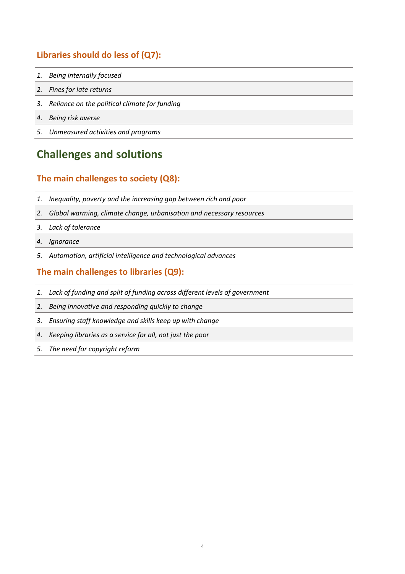#### **Libraries should do less of (Q7):**

- *1. Being internally focused*
- *2. Fines for late returns*
- *3. Reliance on the political climate for funding*
- *4. Being risk averse*
- *5. Unmeasured activities and programs*

# **Challenges and solutions**

#### **The main challenges to society (Q8):**

- *1. Inequality, poverty and the increasing gap between rich and poor*
- *2. Global warming, climate change, urbanisation and necessary resources*
- *3. Lack of tolerance*
- *4. Ignorance*
- *5. Automation, artificial intelligence and technological advances*

#### **The main challenges to libraries (Q9):**

- *1. Lack of funding and split of funding across different levels of government*
- *2. Being innovative and responding quickly to change*
- *3. Ensuring staff knowledge and skills keep up with change*
- *4. Keeping libraries as a service for all, not just the poor*
- *5. The need for copyright reform*